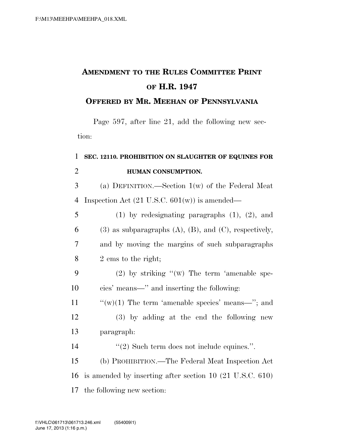## **AMENDMENT TO THE RULES COMMITTEE PRINT OF H.R. 1947**

## **OFFERED BY MR. MEEHAN OF PENNSYLVANIA**

Page 597, after line 21, add the following new section:

## 1 **SEC. 12110. PROHIBITION ON SLAUGHTER OF EQUINES FOR**  2 **HUMAN CONSUMPTION.**

3 (a) DEFINITION.—Section 1(w) of the Federal Meat 4 Inspection Act  $(21 \text{ U.S.C. } 601(\text{w}))$  is amended—

 (1) by redesignating paragraphs (1), (2), and 6 (3) as subparagraphs  $(A)$ ,  $(B)$ , and  $(C)$ , respectively, and by moving the margins of such subparagraphs 2 ems to the right;

9 (2) by striking ''(W) The term 'amenable spe-10 cies' means—'' and inserting the following:

11  $\frac{u'(w)}{1}$  The term 'amenable species' means—"; and

12 (3) by adding at the end the following new 13 paragraph:

14  $(2)$  Such term does not include equines.".

15 (b) PROHIBITION.—The Federal Meat Inspection Act 16 is amended by inserting after section 10 (21 U.S.C. 610) 17 the following new section: